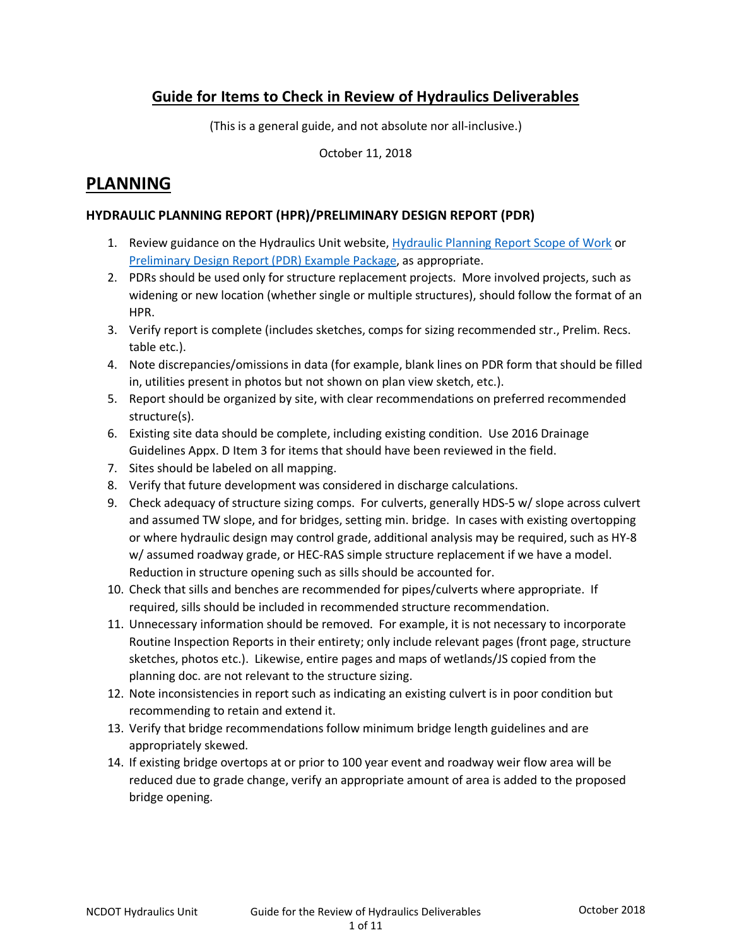# Guide for Items to Check in Review of Hydraulics Deliverables

(This is a general guide, and not absolute nor all-inclusive.)

October 11, 2018

# PLANNING

### HYDRAULIC PLANNING REPORT (HPR)/PRELIMINARY DESIGN REPORT (PDR)

- 1. Review guidance on the Hydraulics Unit website, Hydraulic Planning Report Scope of Work or [Preliminary Design Report \(PDR\) Example Package, as appropriate.](https://connect.ncdot.gov/resources/hydro/FormsChecklists/Preliminary%20Design%20Report%20(PDR)%20Example%20Package.pdf)
- 2. PDRs should be used only for structure replacement projects. More involved projects, such as widening or new location (whether single or multiple structures), should follow the format of an HPR.
- 3. Verify report is complete (includes sketches, comps for sizing recommended str., Prelim. Recs. table etc.).
- 4. Note discrepancies/omissions in data (for example, blank lines on PDR form that should be filled in, utilities present in photos but not shown on plan view sketch, etc.).
- 5. Report should be organized by site, with clear recommendations on preferred recommended structure(s).
- 6. Existing site data should be complete, including existing condition. Use 2016 Drainage Guidelines Appx. D Item 3 for items that should have been reviewed in the field.
- 7. Sites should be labeled on all mapping.
- 8. Verify that future development was considered in discharge calculations.
- 9. Check adequacy of structure sizing comps. For culverts, generally HDS-5 w/ slope across culvert and assumed TW slope, and for bridges, setting min. bridge. In cases with existing overtopping or where hydraulic design may control grade, additional analysis may be required, such as HY-8 w/ assumed roadway grade, or HEC-RAS simple structure replacement if we have a model. Reduction in structure opening such as sills should be accounted for.
- 10. Check that sills and benches are recommended for pipes/culverts where appropriate. If required, sills should be included in recommended structure recommendation.
- 11. Unnecessary information should be removed. For example, it is not necessary to incorporate Routine Inspection Reports in their entirety; only include relevant pages (front page, structure sketches, photos etc.). Likewise, entire pages and maps of wetlands/JS copied from the planning doc. are not relevant to the structure sizing.
- 12. Note inconsistencies in report such as indicating an existing culvert is in poor condition but recommending to retain and extend it.
- 13. Verify that bridge recommendations follow minimum bridge length guidelines and are appropriately skewed.
- 14. If existing bridge overtops at or prior to 100 year event and roadway weir flow area will be reduced due to grade change, verify an appropriate amount of area is added to the proposed bridge opening.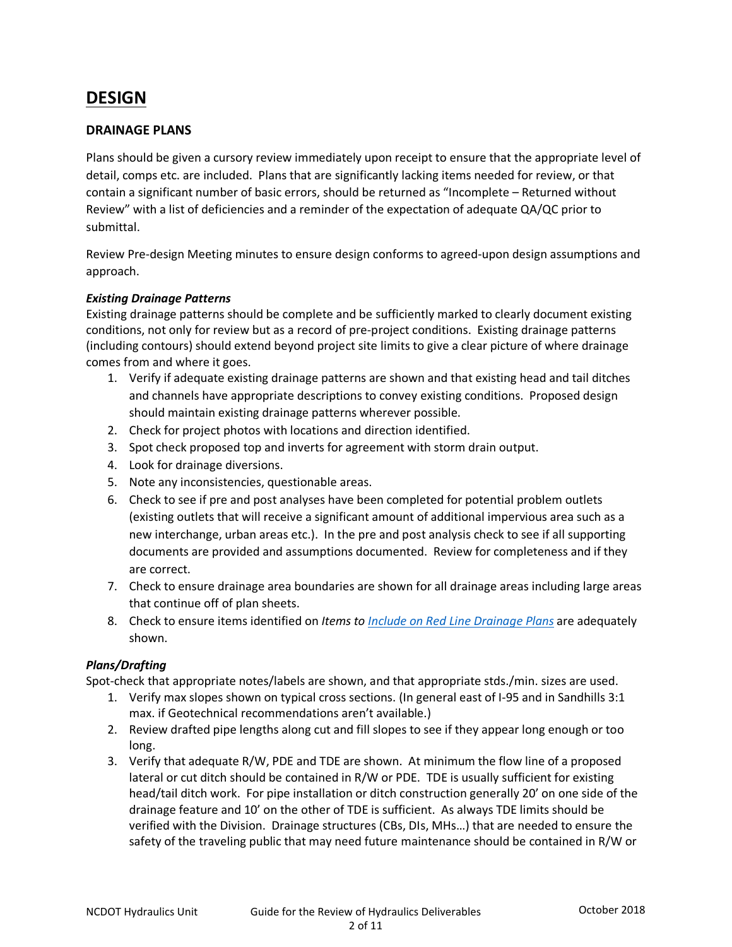# DESIGN

#### DRAINAGE PLANS

Plans should be given a cursory review immediately upon receipt to ensure that the appropriate level of detail, comps etc. are included. Plans that are significantly lacking items needed for review, or that contain a significant number of basic errors, should be returned as "Incomplete – Returned without Review" with a list of deficiencies and a reminder of the expectation of adequate QA/QC prior to submittal.

Review Pre-design Meeting minutes to ensure design conforms to agreed-upon design assumptions and approach.

#### Existing Drainage Patterns

Existing drainage patterns should be complete and be sufficiently marked to clearly document existing conditions, not only for review but as a record of pre-project conditions. Existing drainage patterns (including contours) should extend beyond project site limits to give a clear picture of where drainage comes from and where it goes.

- 1. Verify if adequate existing drainage patterns are shown and that existing head and tail ditches and channels have appropriate descriptions to convey existing conditions. Proposed design should maintain existing drainage patterns wherever possible.
- 2. Check for project photos with locations and direction identified.
- 3. Spot check proposed top and inverts for agreement with storm drain output.
- 4. Look for drainage diversions.
- 5. Note any inconsistencies, questionable areas.
- 6. Check to see if pre and post analyses have been completed for potential problem outlets (existing outlets that will receive a significant amount of additional impervious area such as a new interchange, urban areas etc.). In the pre and post analysis check to see if all supporting documents are provided and assumptions documented. Review for completeness and if they are correct.
- 7. Check to ensure drainage area boundaries are shown for all drainage areas including large areas that continue off of plan sheets.
- 8. Check to ensure items identified on Items to [Include on Red Line Drainage Plans](https://connect.ncdot.gov/resources/hydro/Hydraulics%20Memos%20Guidelines/Items_to_Include_on_Redline_Drainage_Plans.pdf) are adequately shown.

#### Plans/Drafting

Spot-check that appropriate notes/labels are shown, and that appropriate stds./min. sizes are used.

- 1. Verify max slopes shown on typical cross sections. (In general east of I-95 and in Sandhills 3:1 max. if Geotechnical recommendations aren't available.)
- 2. Review drafted pipe lengths along cut and fill slopes to see if they appear long enough or too long.
- 3. Verify that adequate R/W, PDE and TDE are shown. At minimum the flow line of a proposed lateral or cut ditch should be contained in R/W or PDE. TDE is usually sufficient for existing head/tail ditch work. For pipe installation or ditch construction generally 20' on one side of the drainage feature and 10' on the other of TDE is sufficient. As always TDE limits should be verified with the Division. Drainage structures (CBs, DIs, MHs…) that are needed to ensure the safety of the traveling public that may need future maintenance should be contained in R/W or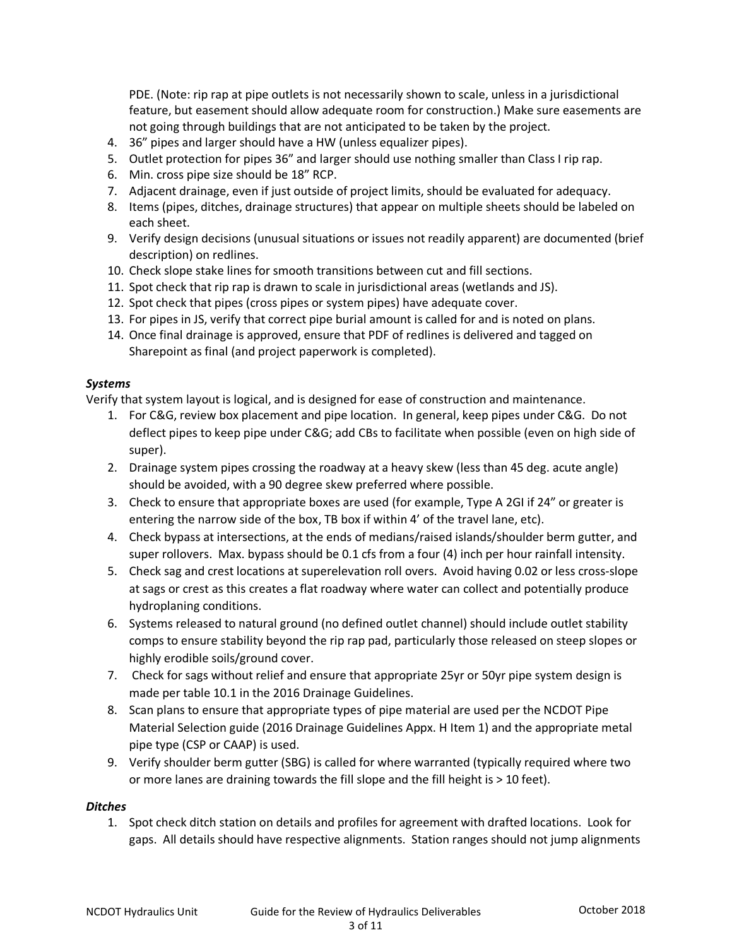PDE. (Note: rip rap at pipe outlets is not necessarily shown to scale, unless in a jurisdictional feature, but easement should allow adequate room for construction.) Make sure easements are not going through buildings that are not anticipated to be taken by the project.

- 4. 36" pipes and larger should have a HW (unless equalizer pipes).
- 5. Outlet protection for pipes 36" and larger should use nothing smaller than Class I rip rap.
- 6. Min. cross pipe size should be 18" RCP.
- 7. Adjacent drainage, even if just outside of project limits, should be evaluated for adequacy.
- 8. Items (pipes, ditches, drainage structures) that appear on multiple sheets should be labeled on each sheet.
- 9. Verify design decisions (unusual situations or issues not readily apparent) are documented (brief description) on redlines.
- 10. Check slope stake lines for smooth transitions between cut and fill sections.
- 11. Spot check that rip rap is drawn to scale in jurisdictional areas (wetlands and JS).
- 12. Spot check that pipes (cross pipes or system pipes) have adequate cover.
- 13. For pipes in JS, verify that correct pipe burial amount is called for and is noted on plans.
- 14. Once final drainage is approved, ensure that PDF of redlines is delivered and tagged on Sharepoint as final (and project paperwork is completed).

#### Systems

Verify that system layout is logical, and is designed for ease of construction and maintenance.

- 1. For C&G, review box placement and pipe location. In general, keep pipes under C&G. Do not deflect pipes to keep pipe under C&G; add CBs to facilitate when possible (even on high side of super).
- 2. Drainage system pipes crossing the roadway at a heavy skew (less than 45 deg. acute angle) should be avoided, with a 90 degree skew preferred where possible.
- 3. Check to ensure that appropriate boxes are used (for example, Type A 2GI if 24" or greater is entering the narrow side of the box, TB box if within 4' of the travel lane, etc).
- 4. Check bypass at intersections, at the ends of medians/raised islands/shoulder berm gutter, and super rollovers. Max. bypass should be 0.1 cfs from a four (4) inch per hour rainfall intensity.
- 5. Check sag and crest locations at superelevation roll overs. Avoid having 0.02 or less cross-slope at sags or crest as this creates a flat roadway where water can collect and potentially produce hydroplaning conditions.
- 6. Systems released to natural ground (no defined outlet channel) should include outlet stability comps to ensure stability beyond the rip rap pad, particularly those released on steep slopes or highly erodible soils/ground cover.
- 7. Check for sags without relief and ensure that appropriate 25yr or 50yr pipe system design is made per table 10.1 in the 2016 Drainage Guidelines.
- 8. Scan plans to ensure that appropriate types of pipe material are used per the NCDOT Pipe Material Selection guide (2016 Drainage Guidelines Appx. H Item 1) and the appropriate metal pipe type (CSP or CAAP) is used.
- 9. Verify shoulder berm gutter (SBG) is called for where warranted (typically required where two or more lanes are draining towards the fill slope and the fill height is > 10 feet).

#### **Ditches**

1. Spot check ditch station on details and profiles for agreement with drafted locations. Look for gaps. All details should have respective alignments. Station ranges should not jump alignments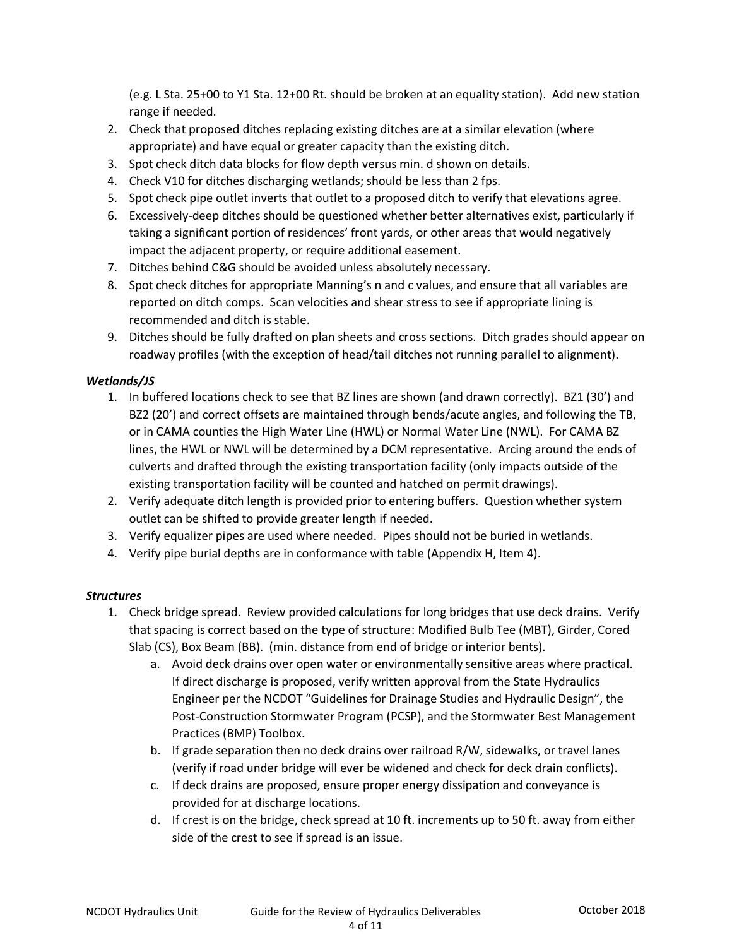(e.g. L Sta. 25+00 to Y1 Sta. 12+00 Rt. should be broken at an equality station). Add new station range if needed.

- 2. Check that proposed ditches replacing existing ditches are at a similar elevation (where appropriate) and have equal or greater capacity than the existing ditch.
- 3. Spot check ditch data blocks for flow depth versus min. d shown on details.
- 4. Check V10 for ditches discharging wetlands; should be less than 2 fps.
- 5. Spot check pipe outlet inverts that outlet to a proposed ditch to verify that elevations agree.
- 6. Excessively-deep ditches should be questioned whether better alternatives exist, particularly if taking a significant portion of residences' front yards, or other areas that would negatively impact the adjacent property, or require additional easement.
- 7. Ditches behind C&G should be avoided unless absolutely necessary.
- 8. Spot check ditches for appropriate Manning's n and c values, and ensure that all variables are reported on ditch comps. Scan velocities and shear stress to see if appropriate lining is recommended and ditch is stable.
- 9. Ditches should be fully drafted on plan sheets and cross sections. Ditch grades should appear on roadway profiles (with the exception of head/tail ditches not running parallel to alignment).

# Wetlands/JS

- 1. In buffered locations check to see that BZ lines are shown (and drawn correctly). BZ1 (30') and BZ2 (20') and correct offsets are maintained through bends/acute angles, and following the TB, or in CAMA counties the High Water Line (HWL) or Normal Water Line (NWL). For CAMA BZ lines, the HWL or NWL will be determined by a DCM representative. Arcing around the ends of culverts and drafted through the existing transportation facility (only impacts outside of the existing transportation facility will be counted and hatched on permit drawings).
- 2. Verify adequate ditch length is provided prior to entering buffers. Question whether system outlet can be shifted to provide greater length if needed.
- 3. Verify equalizer pipes are used where needed. Pipes should not be buried in wetlands.
- 4. Verify pipe burial depths are in conformance with table (Appendix H, Item 4).

# **Structures**

- 1. Check bridge spread. Review provided calculations for long bridges that use deck drains. Verify that spacing is correct based on the type of structure: Modified Bulb Tee (MBT), Girder, Cored Slab (CS), Box Beam (BB). (min. distance from end of bridge or interior bents).
	- a. Avoid deck drains over open water or environmentally sensitive areas where practical. If direct discharge is proposed, verify written approval from the State Hydraulics Engineer per the NCDOT "Guidelines for Drainage Studies and Hydraulic Design", the Post-Construction Stormwater Program (PCSP), and the Stormwater Best Management Practices (BMP) Toolbox.
	- b. If grade separation then no deck drains over railroad R/W, sidewalks, or travel lanes (verify if road under bridge will ever be widened and check for deck drain conflicts).
	- c. If deck drains are proposed, ensure proper energy dissipation and conveyance is provided for at discharge locations.
	- d. If crest is on the bridge, check spread at 10 ft. increments up to 50 ft. away from either side of the crest to see if spread is an issue.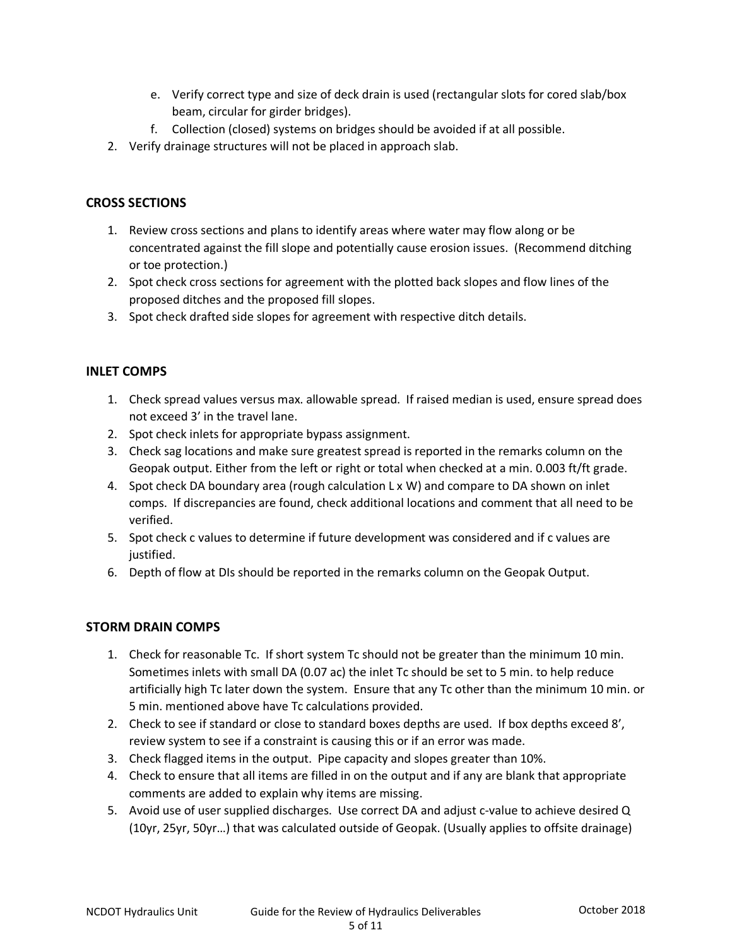- e. Verify correct type and size of deck drain is used (rectangular slots for cored slab/box beam, circular for girder bridges).
- f. Collection (closed) systems on bridges should be avoided if at all possible.
- 2. Verify drainage structures will not be placed in approach slab.

### CROSS SECTIONS

- 1. Review cross sections and plans to identify areas where water may flow along or be concentrated against the fill slope and potentially cause erosion issues. (Recommend ditching or toe protection.)
- 2. Spot check cross sections for agreement with the plotted back slopes and flow lines of the proposed ditches and the proposed fill slopes.
- 3. Spot check drafted side slopes for agreement with respective ditch details.

#### INLET COMPS

- 1. Check spread values versus max. allowable spread. If raised median is used, ensure spread does not exceed 3' in the travel lane.
- 2. Spot check inlets for appropriate bypass assignment.
- 3. Check sag locations and make sure greatest spread is reported in the remarks column on the Geopak output. Either from the left or right or total when checked at a min. 0.003 ft/ft grade.
- 4. Spot check DA boundary area (rough calculation L x W) and compare to DA shown on inlet comps. If discrepancies are found, check additional locations and comment that all need to be verified.
- 5. Spot check c values to determine if future development was considered and if c values are justified.
- 6. Depth of flow at DIs should be reported in the remarks column on the Geopak Output.

# STORM DRAIN COMPS

- 1. Check for reasonable Tc. If short system Tc should not be greater than the minimum 10 min. Sometimes inlets with small DA (0.07 ac) the inlet Tc should be set to 5 min. to help reduce artificially high Tc later down the system. Ensure that any Tc other than the minimum 10 min. or 5 min. mentioned above have Tc calculations provided.
- 2. Check to see if standard or close to standard boxes depths are used. If box depths exceed 8', review system to see if a constraint is causing this or if an error was made.
- 3. Check flagged items in the output. Pipe capacity and slopes greater than 10%.
- 4. Check to ensure that all items are filled in on the output and if any are blank that appropriate comments are added to explain why items are missing.
- 5. Avoid use of user supplied discharges. Use correct DA and adjust c-value to achieve desired Q (10yr, 25yr, 50yr…) that was calculated outside of Geopak. (Usually applies to offsite drainage)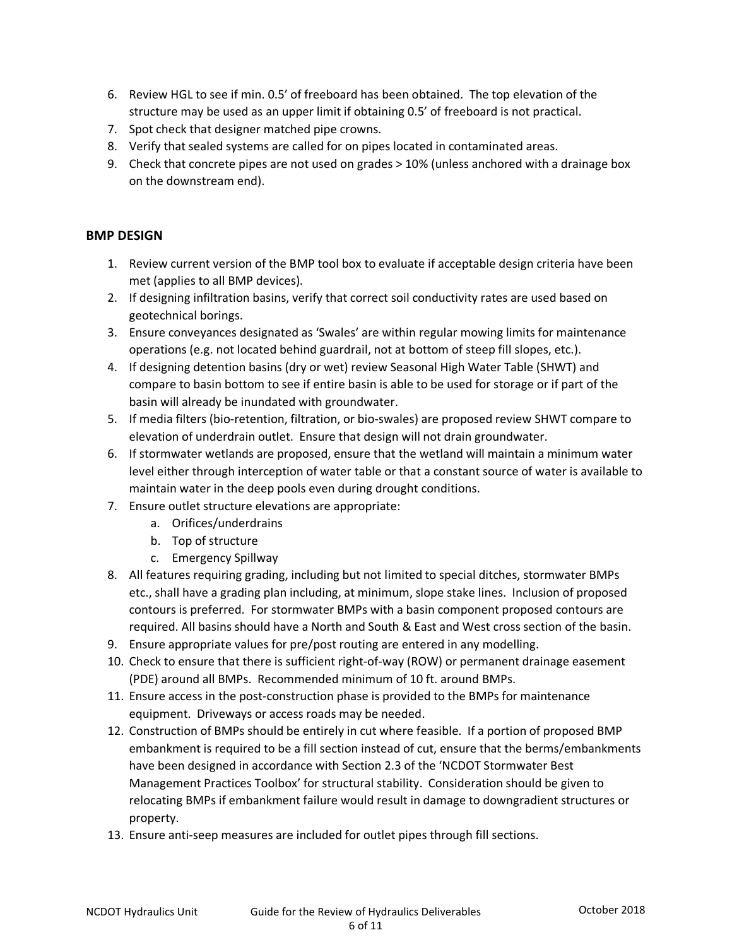- 6. Review HGL to see if min. 0.5' of freeboard has been obtained. The top elevation of the structure may be used as an upper limit if obtaining 0.5' of freeboard is not practical.
- 7. Spot check that designer matched pipe crowns.
- 8. Verify that sealed systems are called for on pipes located in contaminated areas.
- 9. Check that concrete pipes are not used on grades > 10% (unless anchored with a drainage box on the downstream end).

# BMP DESIGN

- 1. Review current version of the BMP tool box to evaluate if acceptable design criteria have been met (applies to all BMP devices).
- 2. If designing infiltration basins, verify that correct soil conductivity rates are used based on geotechnical borings.
- 3. Ensure conveyances designated as 'Swales' are within regular mowing limits for maintenance operations (e.g. not located behind guardrail, not at bottom of steep fill slopes, etc.).
- 4. If designing detention basins (dry or wet) review Seasonal High Water Table (SHWT) and compare to basin bottom to see if entire basin is able to be used for storage or if part of the basin will already be inundated with groundwater.
- 5. If media filters (bio-retention, filtration, or bio-swales) are proposed review SHWT compare to elevation of underdrain outlet. Ensure that design will not drain groundwater.
- 6. If stormwater wetlands are proposed, ensure that the wetland will maintain a minimum water level either through interception of water table or that a constant source of water is available to maintain water in the deep pools even during drought conditions.
- 7. Ensure outlet structure elevations are appropriate:
	- a. Orifices/underdrains
	- b. Top of structure
	- c. Emergency Spillway
- 8. All features requiring grading, including but not limited to special ditches, stormwater BMPs etc., shall have a grading plan including, at minimum, slope stake lines. Inclusion of proposed contours is preferred. For stormwater BMPs with a basin component proposed contours are required. All basins should have a North and South & East and West cross section of the basin.
- 9. Ensure appropriate values for pre/post routing are entered in any modelling.
- 10. Check to ensure that there is sufficient right-of-way (ROW) or permanent drainage easement (PDE) around all BMPs. Recommended minimum of 10 ft. around BMPs.
- 11. Ensure access in the post-construction phase is provided to the BMPs for maintenance equipment. Driveways or access roads may be needed.
- 12. Construction of BMPs should be entirely in cut where feasible. If a portion of proposed BMP embankment is required to be a fill section instead of cut, ensure that the berms/embankments have been designed in accordance with Section 2.3 of the 'NCDOT Stormwater Best Management Practices Toolbox' for structural stability. Consideration should be given to relocating BMPs if embankment failure would result in damage to downgradient structures or property.
- 13. Ensure anti-seep measures are included for outlet pipes through fill sections.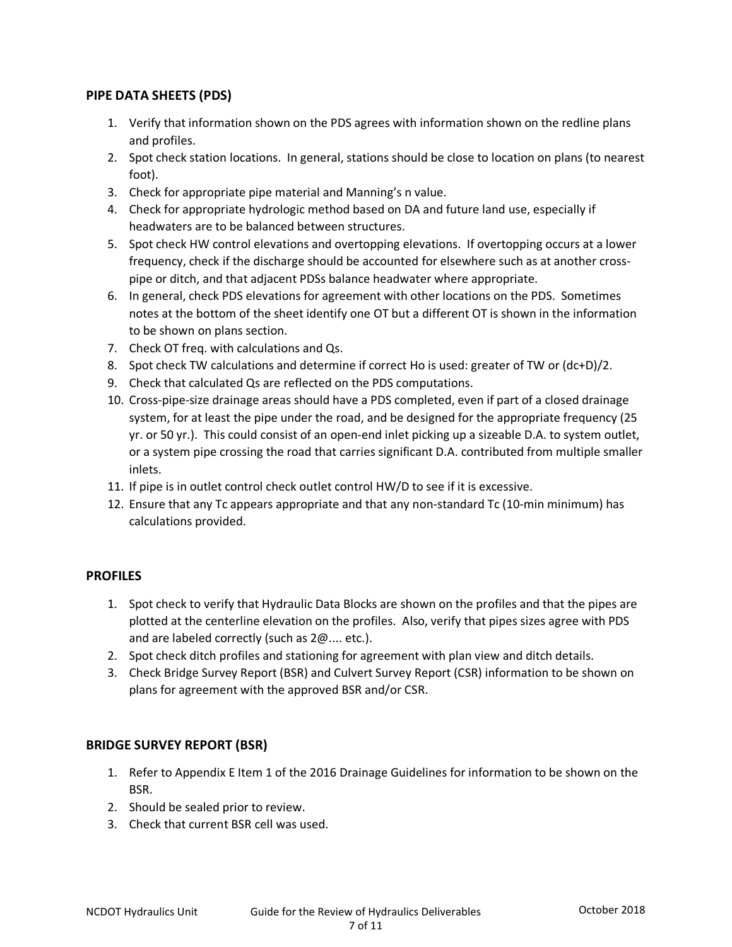# PIPE DATA SHEETS (PDS)

- 1. Verify that information shown on the PDS agrees with information shown on the redline plans and profiles.
- 2. Spot check station locations. In general, stations should be close to location on plans (to nearest foot).
- 3. Check for appropriate pipe material and Manning's n value.
- 4. Check for appropriate hydrologic method based on DA and future land use, especially if headwaters are to be balanced between structures.
- 5. Spot check HW control elevations and overtopping elevations. If overtopping occurs at a lower frequency, check if the discharge should be accounted for elsewhere such as at another crosspipe or ditch, and that adjacent PDSs balance headwater where appropriate.
- 6. In general, check PDS elevations for agreement with other locations on the PDS. Sometimes notes at the bottom of the sheet identify one OT but a different OT is shown in the information to be shown on plans section.
- 7. Check OT freq. with calculations and Qs.
- 8. Spot check TW calculations and determine if correct Ho is used: greater of TW or (dc+D)/2.
- 9. Check that calculated Qs are reflected on the PDS computations.
- 10. Cross-pipe-size drainage areas should have a PDS completed, even if part of a closed drainage system, for at least the pipe under the road, and be designed for the appropriate frequency (25 yr. or 50 yr.). This could consist of an open-end inlet picking up a sizeable D.A. to system outlet, or a system pipe crossing the road that carries significant D.A. contributed from multiple smaller inlets.
- 11. If pipe is in outlet control check outlet control HW/D to see if it is excessive.
- 12. Ensure that any Tc appears appropriate and that any non-standard Tc (10-min minimum) has calculations provided.

# **PROFILES**

- 1. Spot check to verify that Hydraulic Data Blocks are shown on the profiles and that the pipes are plotted at the centerline elevation on the profiles. Also, verify that pipes sizes agree with PDS and are labeled correctly (such as 2@.... etc.).
- 2. Spot check ditch profiles and stationing for agreement with plan view and ditch details.
- 3. Check Bridge Survey Report (BSR) and Culvert Survey Report (CSR) information to be shown on plans for agreement with the approved BSR and/or CSR.

# BRIDGE SURVEY REPORT (BSR)

- 1. Refer to Appendix E Item 1 of the 2016 Drainage Guidelines for information to be shown on the BSR.
- 2. Should be sealed prior to review.
- 3. Check that current BSR cell was used.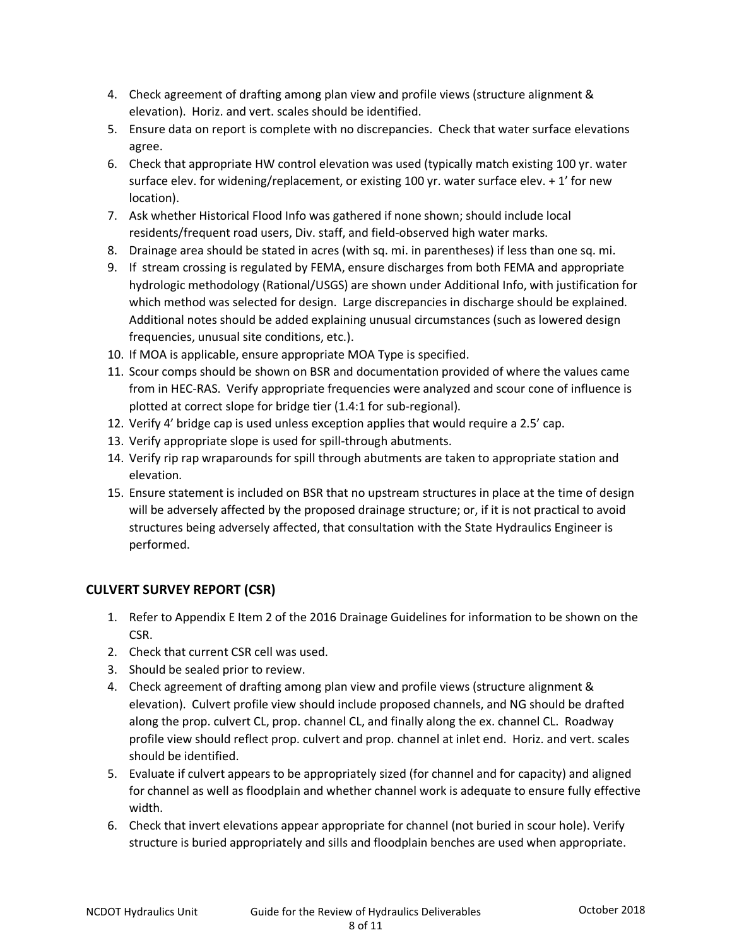- 4. Check agreement of drafting among plan view and profile views (structure alignment & elevation). Horiz. and vert. scales should be identified.
- 5. Ensure data on report is complete with no discrepancies. Check that water surface elevations agree.
- 6. Check that appropriate HW control elevation was used (typically match existing 100 yr. water surface elev. for widening/replacement, or existing 100 yr. water surface elev.  $+1'$  for new location).
- 7. Ask whether Historical Flood Info was gathered if none shown; should include local residents/frequent road users, Div. staff, and field-observed high water marks.
- 8. Drainage area should be stated in acres (with sq. mi. in parentheses) if less than one sq. mi.
- 9. If stream crossing is regulated by FEMA, ensure discharges from both FEMA and appropriate hydrologic methodology (Rational/USGS) are shown under Additional Info, with justification for which method was selected for design. Large discrepancies in discharge should be explained. Additional notes should be added explaining unusual circumstances (such as lowered design frequencies, unusual site conditions, etc.).
- 10. If MOA is applicable, ensure appropriate MOA Type is specified.
- 11. Scour comps should be shown on BSR and documentation provided of where the values came from in HEC-RAS. Verify appropriate frequencies were analyzed and scour cone of influence is plotted at correct slope for bridge tier (1.4:1 for sub-regional).
- 12. Verify 4' bridge cap is used unless exception applies that would require a 2.5' cap.
- 13. Verify appropriate slope is used for spill-through abutments.
- 14. Verify rip rap wraparounds for spill through abutments are taken to appropriate station and elevation.
- 15. Ensure statement is included on BSR that no upstream structures in place at the time of design will be adversely affected by the proposed drainage structure; or, if it is not practical to avoid structures being adversely affected, that consultation with the State Hydraulics Engineer is performed.

# CULVERT SURVEY REPORT (CSR)

- 1. Refer to Appendix E Item 2 of the 2016 Drainage Guidelines for information to be shown on the CSR.
- 2. Check that current CSR cell was used.
- 3. Should be sealed prior to review.
- 4. Check agreement of drafting among plan view and profile views (structure alignment & elevation). Culvert profile view should include proposed channels, and NG should be drafted along the prop. culvert CL, prop. channel CL, and finally along the ex. channel CL. Roadway profile view should reflect prop. culvert and prop. channel at inlet end. Horiz. and vert. scales should be identified.
- 5. Evaluate if culvert appears to be appropriately sized (for channel and for capacity) and aligned for channel as well as floodplain and whether channel work is adequate to ensure fully effective width.
- 6. Check that invert elevations appear appropriate for channel (not buried in scour hole). Verify structure is buried appropriately and sills and floodplain benches are used when appropriate.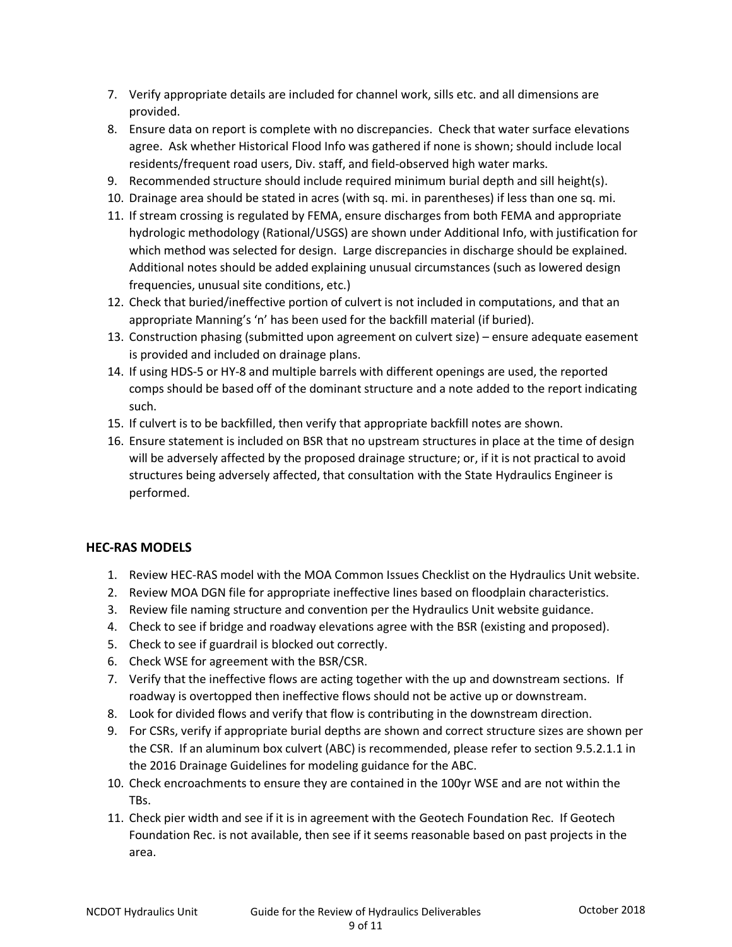- 7. Verify appropriate details are included for channel work, sills etc. and all dimensions are provided.
- 8. Ensure data on report is complete with no discrepancies. Check that water surface elevations agree. Ask whether Historical Flood Info was gathered if none is shown; should include local residents/frequent road users, Div. staff, and field-observed high water marks.
- 9. Recommended structure should include required minimum burial depth and sill height(s).
- 10. Drainage area should be stated in acres (with sq. mi. in parentheses) if less than one sq. mi.
- 11. If stream crossing is regulated by FEMA, ensure discharges from both FEMA and appropriate hydrologic methodology (Rational/USGS) are shown under Additional Info, with justification for which method was selected for design. Large discrepancies in discharge should be explained. Additional notes should be added explaining unusual circumstances (such as lowered design frequencies, unusual site conditions, etc.)
- 12. Check that buried/ineffective portion of culvert is not included in computations, and that an appropriate Manning's 'n' has been used for the backfill material (if buried).
- 13. Construction phasing (submitted upon agreement on culvert size) ensure adequate easement is provided and included on drainage plans.
- 14. If using HDS-5 or HY-8 and multiple barrels with different openings are used, the reported comps should be based off of the dominant structure and a note added to the report indicating such.
- 15. If culvert is to be backfilled, then verify that appropriate backfill notes are shown.
- 16. Ensure statement is included on BSR that no upstream structures in place at the time of design will be adversely affected by the proposed drainage structure; or, if it is not practical to avoid structures being adversely affected, that consultation with the State Hydraulics Engineer is performed.

# HEC-RAS MODELS

- 1. Review HEC-RAS model with the MOA Common Issues Checklist on the Hydraulics Unit website.
- 2. Review MOA DGN file for appropriate ineffective lines based on floodplain characteristics.
- 3. Review file naming structure and convention per the Hydraulics Unit website guidance.
- 4. Check to see if bridge and roadway elevations agree with the BSR (existing and proposed).
- 5. Check to see if guardrail is blocked out correctly.
- 6. Check WSE for agreement with the BSR/CSR.
- 7. Verify that the ineffective flows are acting together with the up and downstream sections. If roadway is overtopped then ineffective flows should not be active up or downstream.
- 8. Look for divided flows and verify that flow is contributing in the downstream direction.
- 9. For CSRs, verify if appropriate burial depths are shown and correct structure sizes are shown per the CSR. If an aluminum box culvert (ABC) is recommended, please refer to section 9.5.2.1.1 in the 2016 Drainage Guidelines for modeling guidance for the ABC.
- 10. Check encroachments to ensure they are contained in the 100yr WSE and are not within the TBs.
- 11. Check pier width and see if it is in agreement with the Geotech Foundation Rec. If Geotech Foundation Rec. is not available, then see if it seems reasonable based on past projects in the area.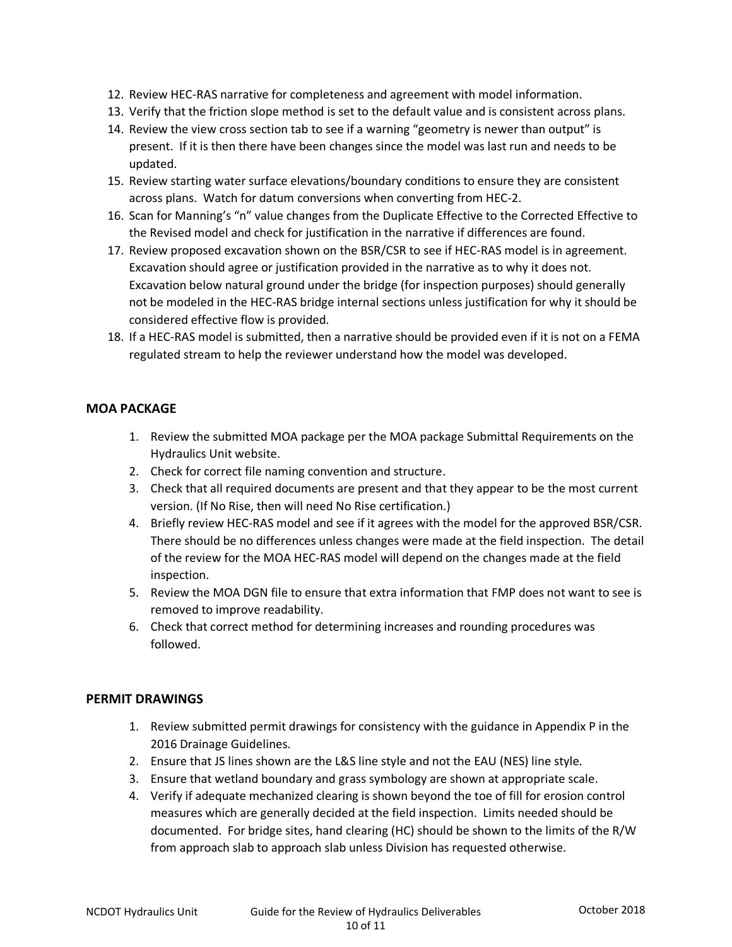- 12. Review HEC-RAS narrative for completeness and agreement with model information.
- 13. Verify that the friction slope method is set to the default value and is consistent across plans.
- 14. Review the view cross section tab to see if a warning "geometry is newer than output" is present. If it is then there have been changes since the model was last run and needs to be updated.
- 15. Review starting water surface elevations/boundary conditions to ensure they are consistent across plans. Watch for datum conversions when converting from HEC-2.
- 16. Scan for Manning's "n" value changes from the Duplicate Effective to the Corrected Effective to the Revised model and check for justification in the narrative if differences are found.
- 17. Review proposed excavation shown on the BSR/CSR to see if HEC-RAS model is in agreement. Excavation should agree or justification provided in the narrative as to why it does not. Excavation below natural ground under the bridge (for inspection purposes) should generally not be modeled in the HEC-RAS bridge internal sections unless justification for why it should be considered effective flow is provided.
- 18. If a HEC-RAS model is submitted, then a narrative should be provided even if it is not on a FEMA regulated stream to help the reviewer understand how the model was developed.

# MOA PACKAGE

- 1. Review the submitted MOA package per the MOA package Submittal Requirements on the Hydraulics Unit website.
- 2. Check for correct file naming convention and structure.
- 3. Check that all required documents are present and that they appear to be the most current version. (If No Rise, then will need No Rise certification.)
- 4. Briefly review HEC-RAS model and see if it agrees with the model for the approved BSR/CSR. There should be no differences unless changes were made at the field inspection. The detail of the review for the MOA HEC-RAS model will depend on the changes made at the field inspection.
- 5. Review the MOA DGN file to ensure that extra information that FMP does not want to see is removed to improve readability.
- 6. Check that correct method for determining increases and rounding procedures was followed.

#### PERMIT DRAWINGS

- 1. Review submitted permit drawings for consistency with the guidance in Appendix P in the 2016 Drainage Guidelines.
- 2. Ensure that JS lines shown are the L&S line style and not the EAU (NES) line style.
- 3. Ensure that wetland boundary and grass symbology are shown at appropriate scale.
- 4. Verify if adequate mechanized clearing is shown beyond the toe of fill for erosion control measures which are generally decided at the field inspection. Limits needed should be documented. For bridge sites, hand clearing (HC) should be shown to the limits of the R/W from approach slab to approach slab unless Division has requested otherwise.